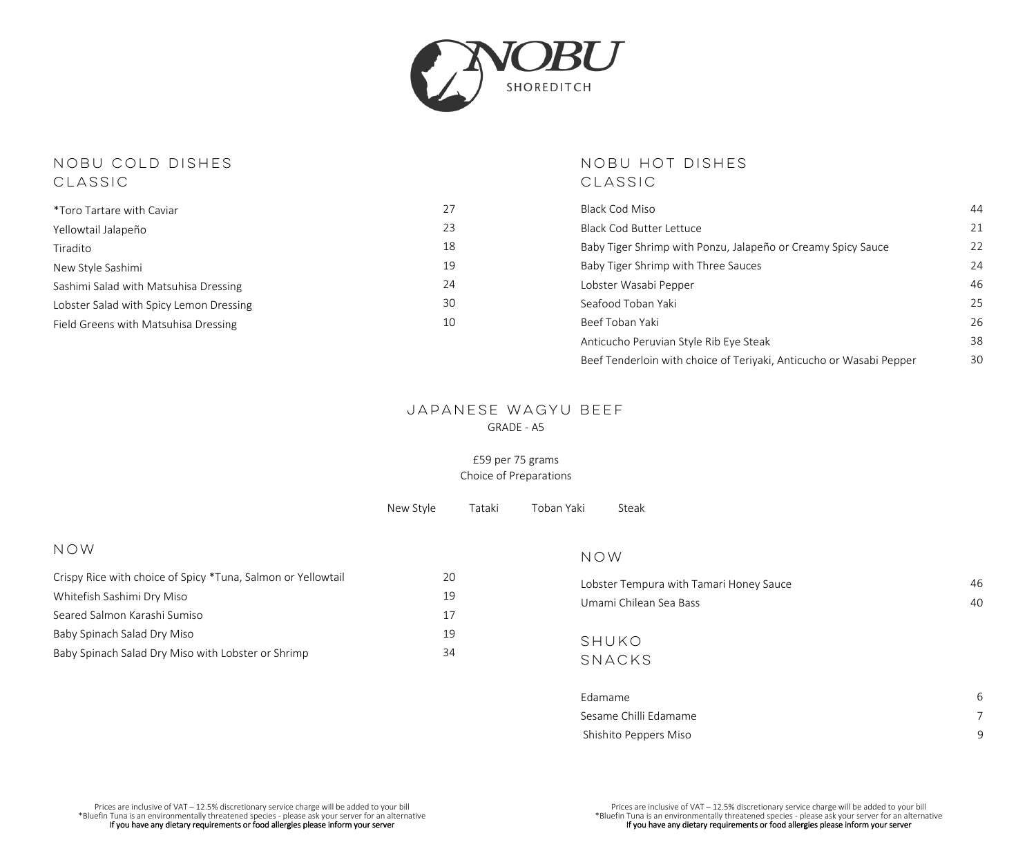

# NOBU COLD DISHES CLASSIC

| <i>*Toro Tartare with Caviar</i>        | 27 |
|-----------------------------------------|----|
| Yellowtail Jalapeño                     | 23 |
| Tiradito                                | 18 |
| New Style Sashimi                       | 19 |
| Sashimi Salad with Matsuhisa Dressing   | 24 |
| Lobster Salad with Spicy Lemon Dressing | 30 |
| Field Greens with Matsuhisa Dressing    | 10 |
|                                         |    |

# NOBU HOT DISHES CLASSIC

| Black Cod Miso                                                      | 44 |
|---------------------------------------------------------------------|----|
| Black Cod Butter Lettuce                                            | 21 |
| Baby Tiger Shrimp with Ponzu, Jalapeño or Creamy Spicy Sauce        | 22 |
| Baby Tiger Shrimp with Three Sauces                                 | 24 |
| Lobster Wasabi Pepper                                               | 46 |
| Seafood Toban Yaki                                                  | 25 |
| Beef Toban Yaki                                                     | 26 |
| Anticucho Peruvian Style Rib Eye Steak                              | 38 |
| Beef Tenderloin with choice of Teriyaki, Anticucho or Wasabi Pepper | 30 |

## JAPANESE WAGYU BEEF GRADE - A5

#### £59 per 75 grams Choice of Preparations

|                                                              | New Style | Tataki | Toban Yaki | Steak                                   |    |
|--------------------------------------------------------------|-----------|--------|------------|-----------------------------------------|----|
| NOW                                                          |           |        | NOW        |                                         |    |
| Crispy Rice with choice of Spicy *Tuna, Salmon or Yellowtail | 20        |        |            | Lobster Tempura with Tamari Honey Sauce | 46 |
| Whitefish Sashimi Dry Miso                                   | 19        |        |            | Umami Chilean Sea Bass                  | 40 |
| Seared Salmon Karashi Sumiso                                 | 17        |        |            |                                         |    |
| Baby Spinach Salad Dry Miso                                  | 19        |        |            | SHUKO                                   |    |
| Baby Spinach Salad Dry Miso with Lobster or Shrimp           | 34        |        | SNACKS     |                                         |    |

| Fdamame               | 6 |
|-----------------------|---|
| Sesame Chilli Edamame |   |
| Shishito Peppers Miso |   |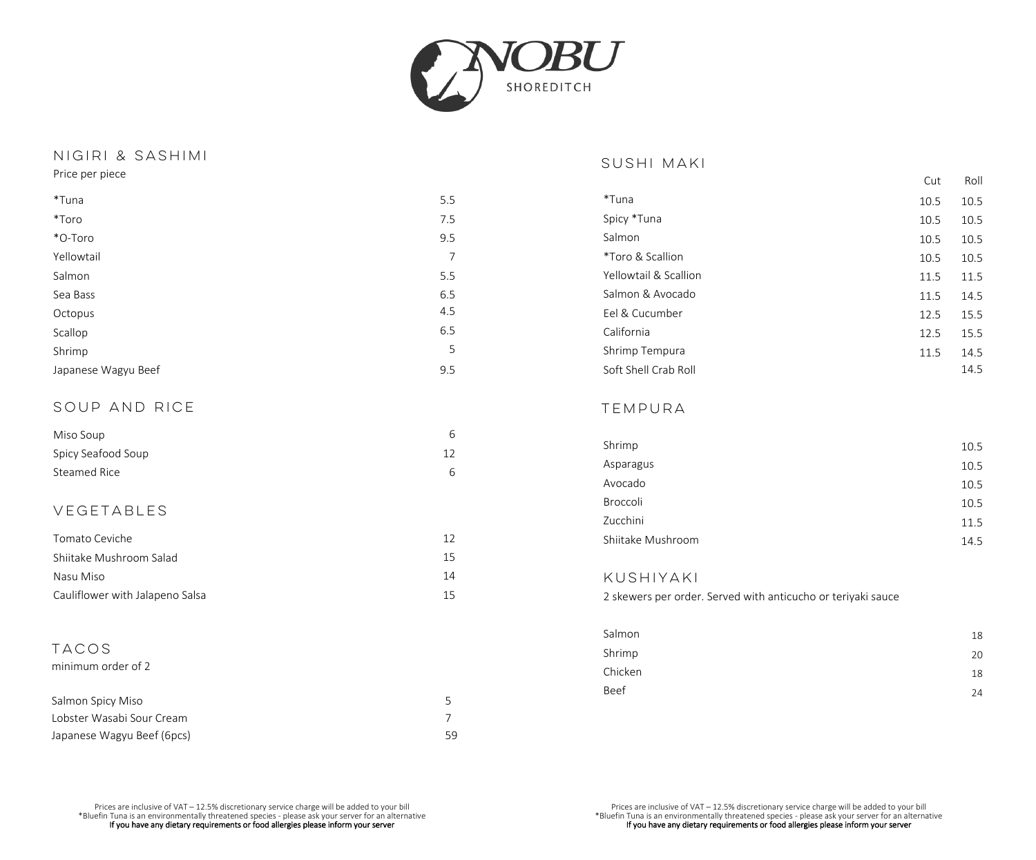

## NIGIRI & SASHIMI Price per piece

| SUSHI MAKI |  |
|------------|--|
|            |  |

| Price per piece     |     |                       | Cut  | Roll |
|---------------------|-----|-----------------------|------|------|
| *Tuna               | 5.5 | *Tuna                 | 10.5 | 10.5 |
| *Toro               | 7.5 | Spicy *Tuna           | 10.5 | 10.5 |
| *O-Toro             | 9.5 | Salmon                | 10.5 | 10.5 |
| Yellowtail          | 7   | *Toro & Scallion      | 10.5 | 10.5 |
| Salmon              | 5.5 | Yellowtail & Scallion | 11.5 | 11.5 |
| Sea Bass            | 6.5 | Salmon & Avocado      | 11.5 | 14.5 |
| Octopus             | 4.5 | Eel & Cucumber        | 12.5 | 15.5 |
| Scallop             | 6.5 | California            | 12.5 | 15.5 |
| Shrimp              | 5   | Shrimp Tempura        | 11.5 | 14.5 |
| Japanese Wagyu Beef | 9.5 | Soft Shell Crab Roll  |      | 14.5 |

# SOUP AND RICE

| Miso Soup          |    |
|--------------------|----|
| Spicy Seafood Soup | 12 |
| Steamed Rice       | 6  |

# VEGETABLES

| Tomato Ceviche                  | 12 |
|---------------------------------|----|
|                                 |    |
| Shiitake Mushroom Salad         | 15 |
|                                 |    |
| Nasu Miso                       | 14 |
|                                 |    |
| Cauliflower with Jalapeno Salsa | 15 |

# TACOS

#### minimum order of 2

| Salmon Spicy Miso          |    |
|----------------------------|----|
| Lobster Wasabi Sour Cream  |    |
| Japanese Wagyu Beef (6pcs) | 59 |

#### TEMPURA

| Shrimp            | 10.5 |
|-------------------|------|
| Asparagus         | 10.5 |
| Avocado           | 10.5 |
| Broccoli          | 10.5 |
| Zucchini          | 11.5 |
| Shiitake Mushroom | 14.5 |

## KUSHIYAKI

2 skewers per order. Served with anticucho or teriyaki sauce

| Salmon  | 18 |
|---------|----|
| Shrimp  | 20 |
| Chicken | 18 |
| Beef    | 24 |